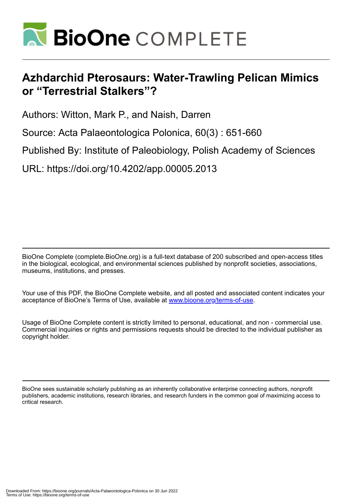

# **Azhdarchid Pterosaurs: Water-Trawling Pelican Mimics or "Terrestrial Stalkers"?**

Authors: Witton, Mark P., and Naish, Darren

Source: Acta Palaeontologica Polonica, 60(3) : 651-660

Published By: Institute of Paleobiology, Polish Academy of Sciences

URL: https://doi.org/10.4202/app.00005.2013

BioOne Complete (complete.BioOne.org) is a full-text database of 200 subscribed and open-access titles in the biological, ecological, and environmental sciences published by nonprofit societies, associations, museums, institutions, and presses.

Your use of this PDF, the BioOne Complete website, and all posted and associated content indicates your acceptance of BioOne's Terms of Use, available at www.bioone.org/terms-of-use.

Usage of BioOne Complete content is strictly limited to personal, educational, and non - commercial use. Commercial inquiries or rights and permissions requests should be directed to the individual publisher as copyright holder.

BioOne sees sustainable scholarly publishing as an inherently collaborative enterprise connecting authors, nonprofit publishers, academic institutions, research libraries, and research funders in the common goal of maximizing access to critical research.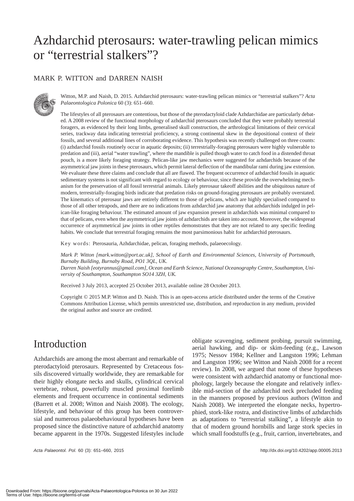# Azhdarchid pterosaurs: water-trawling pelican mimics or "terrestrial stalkers"?

#### MARK P. WITTON and DARREN NAISH



Witton, M.P. and Naish, D. 2015. Azhdarchid pterosaurs: water-trawling pelican mimics or "terrestrial stalkers"? *Acta Palaeontologica Polonica* 60 (3): 651–660.

The lifestyles of all pterosaurs are contentious, but those of the pterodactyloid clade Azhdarchidae are particularly debated. A 2008 review of the functional morphology of azhdarchid pterosaurs concluded that they were probably terrestrial foragers, as evidenced by their long limbs, generalised skull construction, the arthrological limitations of their cervical series, trackway data indicating terrestrial proficiency, a strong continental skew in the depositional context of their fossils, and several additional lines of corroborating evidence. This hypothesis was recently challenged on three counts: (i) azhdarchid fossils routinely occur in aquatic deposits; (ii) terrestrially-foraging pterosaurs were highly vulnerable to predation and (iii), aerial "water trawling", where the mandible is pulled though water to catch food in a distended throat pouch, is a more likely foraging strategy. Pelican-like jaw mechanics were suggested for azhdarchids because of the asymmetrical jaw joints in these pterosaurs, which permit lateral deflection of the mandibular rami during jaw extension. We evaluate these three claims and conclude that all are flawed. The frequent occurrence of azhdarchid fossils in aquatic sedimentary systems is not significant with regard to ecology or behaviour, since these provide the overwhelming mechanism for the preservation of all fossil terrestrial animals. Likely pterosaur takeoff abilities and the ubiquitous nature of modern, terrestrially-foraging birds indicate that predation risks on ground-foraging pterosaurs are probably overstated. The kinematics of pterosaur jaws are entirely different to those of pelicans, which are highly specialised compared to those of all other tetrapods, and there are no indications from azhdarchid jaw anatomy that azhdarchids indulged in pelican-like foraging behaviour. The estimated amount of jaw expansion present in azhdarchids was minimal compared to that of pelicans, even when the asymmetrical jaw joints of azhdarchids are taken into account. Moreover, the widespread occurrence of asymmetrical jaw joints in other reptiles demonstrates that they are not related to any specific feeding habits. We conclude that terrestrial foraging remains the most parsimonious habit for azhdarchid pterosaurs.

Key words: Pterosauria, Azhdarchidae, pelican, foraging methods, palaeoecology.

*Mark P. Witton [mark.witton@port.ac.uk], School of Earth and Environmental Sciences, University of Portsmouth, Burnaby Building, Burnaby Road, PO1 3QL, UK.*

*Darren Naish [eotyrannus@gmail.com], Ocean and Earth Science, National Oceanography Centre, Southampton, University of Southampton, Southampton SO14 3ZH, UK.*

Received 3 July 2013, accepted 25 October 2013, available online 28 October 2013.

Copyright © 2015 M.P. Witton and D. Naish. This is an open-access article distributed under the terms of the Creative Commons Attribution License, which permits unrestricted use, distribution, and reproduction in any medium, provided the original author and source are credited.

## Introduction

Azhdarchids are among the most aberrant and remarkable of pterodactyloid pterosaurs. Represented by Cretaceous fossils discovered virtually worldwide, they are remarkable for their highly elongate necks and skulls, cylindrical cervical vertebrae, robust, powerfully muscled proximal forelimb elements and frequent occurrence in continental sediments (Barrett et al. 2008; Witton and Naish 2008). The ecology, lifestyle, and behaviour of this group has been controversial and numerous palaeobehavioural hypotheses have been proposed since the distinctive nature of azhdarchid anatomy became apparent in the 1970s. Suggested lifestyles include aerial hawking, and dip- or skim-feeding (e.g., Lawson 1975; Nessov 1984; Kellner and Langston 1996; Lehman and Langston 1996; see Witton and Naish 2008 for a recent review). In 2008, we argued that none of these hypotheses were consistent with azhdarchid anatomy or functional morphology, largely because the elongate and relatively inflexible mid-section of the azhdarchid neck precluded feeding in the manners proposed by previous authors (Witton and Naish 2008). We interpreted the elongate necks, hypertrophied, stork-like rostra, and distinctive limbs of azhdarchids as adaptations to "terrestrial stalking", a lifestyle akin to that of modern ground hornbills and large stork species in which small foodstuffs (e.g., fruit, carrion, invertebrates, and

obligate scavenging, sediment probing, pursuit swimming,

*Acta Palaeontol. Pol.* 60 (3): 651–660, 2015 http://dx.doi.org/10.4202/app.00005.2013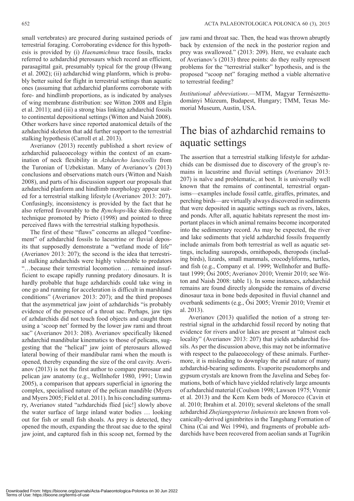small vertebrates) are procured during sustained periods of terrestrial foraging. Corroborating evidence for this hypothesis is provided by (i) *Haenamichnus* trace fossils, tracks referred to azhdarchid pterosaurs which record an efficient, parasagittal gait, presumably typical for the group (Hwang et al. 2002); (ii) azhdarchid wing planform, which is probably better suited for flight in terrestrial settings than aquatic ones (assuming that azhdarchid planforms corroborate with fore- and hindlimb proportions, as is indicated by analyses of wing membrane distribution: see Witton 2008 and Elgin et al. 2011); and (iii) a strong bias linking azhdarchid fossils to continental depositional settings (Witton and Naish 2008). Other workers have since reported anatomical details of the azhdarchid skeleton that add further support to the terrestrial stalking hypothesis (Carroll et al. 2013).

Averianov (2013) recently published a short review of azhdarchid palaeoecology within the context of an examination of neck flexibility in *Azhdarcho lancicollis* from the Turonian of Uzbekistan. Many of Averianov's (2013) conclusions and observations match ours (Witton and Naish 2008), and parts of his discussion support our proposals that azhdarchid planform and hindlimb morphology appear suited for a terrestrial stalking lifestyle (Averianov 2013: 207). Confusingly, inconsistency is provided by the fact that he also referred favourably to the *Rynchops*-like skim-feeding technique promoted by Prieto (1998) and pointed to three perceived flaws with the terrestrial stalking hypothesis.

The first of these "flaws" concerns an alleged "confinement" of azhdarchid fossils to lacustrine or fluvial deposits that supposedly demonstrate a "wetland mode of life" (Averianov 2013: 207); the second is the idea that terrestrial stalking azhdarchids were highly vulnerable to predators "…because their terrestrial locomotion … remained insufficient to escape rapidly running predatory dinosaurs. It is hardly probable that huge azhdarchids could take wing in one go and running for acceleration is difficult in marshland conditions" (Averianov 2013: 207); and the third proposes that the asymmetrical jaw joint of azhdarchids "is probably evidence of the presence of a throat sac. Perhaps, jaw tips of azhdarchids did not touch food objects and caught them using a 'scoop net' formed by the lower jaw rami and throat sac" (Averianov 2013: 208). Averianov specifically likened azhdarchid mandibular kinematics to those of pelicans, suggesting that the "helical" jaw joint of pterosaurs allowed lateral bowing of their mandibular rami when the mouth is opened, thereby expanding the size of the oral cavity. Averianov (2013) is not the first author to compare pterosaur and pelican jaw anatomy (e.g., Wellnhofer 1980, 1991; Unwin 2005), a comparison that appears superficial in ignoring the complex, specialised nature of the pelican mandible (Myers and Myers 2005; Field et al. 2011). In his concluding summary, Averianov stated "azhdarchids flied [sic!] slowly above the water surface of large inland water bodies … looking out for fish or small fish shoals. As prey is detected, they opened the mouth, expanding the throat sac due to the spiral jaw joint, and captured fish in this scoop net, formed by the

jaw rami and throat sac. Then, the head was thrown abruptly back by extension of the neck in the posterior region and prey was swallowed." (2013: 209). Here, we evaluate each of Averianov's (2013) three points: do they really represent problems for the "terrestrial stalker" hypothesis, and is the proposed "scoop net" foraging method a viable alternative to terrestrial feeding?

*Institutional abbreviations*.—MTM, Magyar Természettudományi Múzeum, Budapest, Hungary; TMM, Texas Memorial Museum, Austin, USA.

## The bias of azhdarchid remains to aquatic settings

The assertion that a terrestrial stalking lifestyle for azhdarchids can be dismissed due to discovery of the group's remains in lacustrine and fluvial settings (Averianov 2013: 207) is naïve and problematic, at best. It is universally well known that the remains of continental, terrestrial organisms—examples include fossil cattle, giraffes, primates, and perching birds—are virtually always discovered in sediments that were deposited in aquatic settings such as rivers, lakes, and ponds. After all, aquatic habitats represent the most important places in which animal remains become incorporated into the sedimentary record. As may be expected, the river and lake sediments that yield azhdarchid fossils frequently include animals from both terrestrial as well as aquatic settings, including sauropods, ornithopods, theropods (including birds), lizards, small mammals, crocodyliforms, turtles, and fish (e.g., Company et al. 1999; Wellnhofer and Buffetaut 1999; Ősi 2005; Averianov 2010; Vremir 2010; see Witton and Naish 2008: table 1). In some instances, azhdarchid remains are found directly alongside the remains of diverse dinosaur taxa in bone beds deposited in fluvial channel and overbank sediments (e.g., Ősi 2005; Vremir 2010; Vremir et al. 2013).

Averianov (2013) qualified the notion of a strong terrestrial signal in the azhdarchid fossil record by noting that evidence for rivers and/or lakes are present at "almost each locality" (Averianov 2013: 207) that yields azhdarchid fossils. As per the discussion above, this may not be informative with respect to the palaeoecology of these animals. Furthermore, it is misleading to downplay the arid nature of many azhdarchid-bearing sediments. Evaporite pseudomorphs and gypsum crystals are known from the Javelina and Sebeş formations, both of which have yielded relatively large amounts of azhdarchid material (Coulson 1998; Lawson 1975; Vremir et al. 2013) and the Kem Kem beds of Morocco (Cavin et al. 2010; Ibrahim et al. 2010); several skeletons of the small azhdarchid *Zhejiangopterus linhaiensis* are known from volcanically-derived ignimbrites in the Tangshang Formation of China (Cai and Wei 1994), and fragments of probable azhdarchids have been recovered from aeolian sands at Tugrikin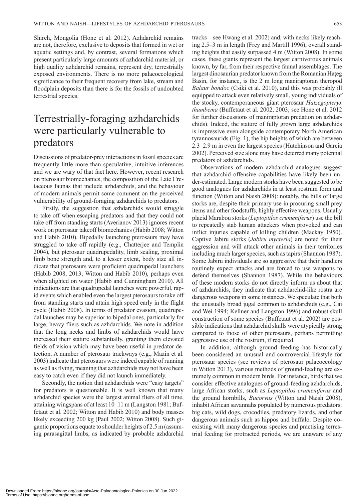Shireh, Mongolia (Hone et al. 2012). Azhdarchid remains are not, therefore, exclusive to deposits that formed in wet or aquatic settings and, by contrast, several formations which present particularly large amounts of azhdarchid material, or high quality azhdarchid remains, represent dry, terrestrially exposed environments. There is no more palaeoecological significance to their frequent recovery from lake, stream and floodplain deposits than there is for the fossils of undoubted terrestrial species.

## Terrestrially-foraging azhdarchids were particularly vulnerable to predators

Discussions of predator-prey interactions in fossil species are frequently little more than speculative, intuitive inferences and we are wary of that fact here. However, recent research on pterosaur biomechanics, the composition of the Late Cretaceous faunas that include azhdarchids, and the behaviour of modern animals permit some comment on the perceived vulnerability of ground-foraging azhdarchids to predators.

Firstly, the suggestion that azhdarchids would struggle to take off when escaping predators and that they could not take off from standing starts (Averianov 2013) ignores recent work on pterosaur takeoff biomechanics (Habib 2008; Witton and Habib 2010). Bipedally launching pterosaurs may have struggled to take off rapidly (e.g., Chatterjee and Templin 2004), but pterosaur quadrupedality, limb scaling, proximal limb bone strength and, to a lesser extent, body size all indicate that pterosaurs were proficient quadrupedal launchers (Habib 2008, 2013; Witton and Habib 2010), perhaps even when alighted on water (Habib and Cunningham 2010). All indications are that quadrupedal launches were powerful, rapid events which enabled even the largest pterosaurs to take off from standing starts and attain high speed early in the flight cycle (Habib 2008). In terms of predator evasion, quadrupedal launches may be superior to bipedal ones, particularly for large, heavy fliers such as azhdarchids. We note in addition that the long necks and limbs of azhdarchids would have increased their stature substantially, granting them elevated fields of vision which may have been useful in predator detection. A number of pterosaur trackways (e.g., Mazin et al. 2003) indicate that pterosaurs were indeed capable of running as well as flying, meaning that azhdarchids may not have been easy to catch even if they did not launch immediately.

Secondly, the notion that azhdarchids were "easy targets" for predators is questionable. It is well known that many azhdarchid species were the largest animal fliers of all time, attaining wingspans of at least 10–11 m (Langston 1981; Buffetaut et al. 2002; Witton and Habib 2010) and body masses likely exceeding 200 kg (Paul 2002; Witton 2008). Such gigantic proportions equate to shoulder heights of 2.5 m (assuming parasagittal limbs, as indicated by probable azhdarchid tracks—see Hwang et al. 2002) and, with necks likely reaching 2.5–3 m in length (Frey and Martill 1996), overall standing heights that easily surpassed 4 m (Witton 2008). In some cases, these giants represent the largest carnivorous animals known, by far, from their respective faunal assemblages. The largest dinosaurian predator known from the Romanian Haţeg Basin, for instance, is the 2 m long maniraptoran theropod *Balaur bondoc* (Csiki et al. 2010), and this was probably ill equipped to attack even relatively small, young individuals of the stocky, contemporaneous giant pterosaur *Hatzegopteryx thambema* (Buffetaut et al. 2002, 2003; see Hone et al. 2012 for further discussions of maniraptoran predation on azhdarchids). Indeed, the stature of fully grown large azhdarchids is impressive even alongside contemporary North American tyrannosaurids (Fig. 1), the hip heights of which are between 2.3–2.9 m in even the largest species (Hutchinson and Garcia 2002). Perceived size alone may have deterred many potential predators of azhdarchids.

Observations of modern azhdarchid analogues suggest that azhdarchid offensive capabilities have likely been under-estimated. Large modern storks have been suggested to be good analogues for azhdarchids in at least rostrum form and function (Witton and Naish 2008): notably, the bills of large storks are, despite their primary use in procuring small prey items and other foodstuffs, highly effective weapons. Usually placid Marabou storks (*Leptoptilos crumeniferus*) use the bill to repeatedly stab human attackers when provoked and can inflict injuries capable of killing children (Mackay 1950). Captive Jabiru storks (*Jabiru mycteria*) are noted for their aggression and will attack other animals in their territories including much larger species, such as tapirs (Shannon 1987). Some Jabiru individuals are so aggressive that their handlers routinely expect attacks and are forced to use weapons to defend themselves (Shannon 1987). While the behaviours of these modern storks do not directly inform us about that of azhdarchids, they indicate that azhdarchid-like rostra are dangerous weapons in some instances. We speculate that both the unusually broad jugal common to azhdarchids (e.g., Cai and Wei 1994; Kellner and Langston 1996) and robust skull construction of some species (Buffetaut et al. 2002) are possible indications that azhdarchid skulls were atypically strong compared to those of other pterosaurs, perhaps permitting aggressive use of the rostrum, if required.

In addition, although ground feeding has historically been considered an unusual and controversial lifestyle for pterosaur species (see reviews of pterosaur palaeoecology in Witton 2013), various methods of ground-feeding are extremely common in modern birds. For instance, birds that we consider effective analogues of ground-feeding azhdarchids, large African storks, such as *Leptoptilos crumeniferus* and the ground hornbills, *Bucorvus* (Witton and Naish 2008), inhabit African savannahs populated by numerous predators: big cats, wild dogs, crocodiles, predatory lizards, and other dangerous animals such as hippos and buffalo. Despite coexisting with many dangerous species and practising terrestrial feeding for protracted periods, we are unaware of any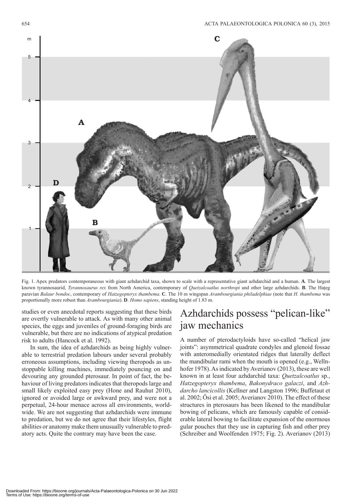

Fig. 1. Apex predators contemporaneous with giant azhdarchid taxa, shown to scale with a representative giant azhdarchid and a human. **A**. The largest known tyrannosaurid, *Tyrannosaurus rex* from North America, contemporary of *Quetzalcoatlus northropi* and other large azhdarchids. **B**. The Haţeg paravian *Balaur bondoc*, contemporary of *Hatzegopteryx thambema*. **C**. The 10 m wingspan *Arambourgiania philadelphiae* (note that *H. thambema* was proportionally more robust than *Arambourgiania*). **D**. *Homo sapiens*, standing height of 1.83 m.

studies or even anecdotal reports suggesting that these birds are overtly vulnerable to attack. As with many other animal species, the eggs and juveniles of ground-foraging birds are vulnerable, but there are no indications of atypical predation risk to adults (Hancock et al. 1992).

In sum, the idea of azhdarchids as being highly vulnerable to terrestrial predation labours under several probably erroneous assumptions, including viewing theropods as unstoppable killing machines, immediately pouncing on and devouring any grounded pterosaur. In point of fact, the behaviour of living predators indicates that theropods large and small likely exploited easy prey (Hone and Rauhut 2010), ignored or avoided large or awkward prey, and were not a perpetual, 24-hour menace across all environments, worldwide. We are not suggesting that azhdarchids were immune to predation, but we do not agree that their lifestyles, flight abilities or anatomy make them unusually vulnerable to predatory acts. Quite the contrary may have been the case.

# Azhdarchids possess "pelican-like" jaw mechanics

A number of pterodactyloids have so-called "helical jaw joints": asymmetrical quadrate condyles and glenoid fossae with anteromedially orientated ridges that laterally deflect the mandibular rami when the mouth is opened (e.g., Wellnhofer 1978). As indicated by Averianov (2013), these are well known in at least four azhdarchid taxa: *Quetzalcoatlus* sp., *Hatzegopteryx thambema*, *Bakonydraco galaczi*, and *Azhdarcho lancicollis* (Kellner and Langston 1996; Buffetaut et al. 2002; Ősi et al. 2005; Averianov 2010). The effect of these structures in pterosaurs has been likened to the mandibular bowing of pelicans, which are famously capable of considerable lateral bowing to facilitate expansion of the enormous gular pouches that they use in capturing fish and other prey (Schreiber and Woolfenden 1975; Fig. 2). Averianov (2013)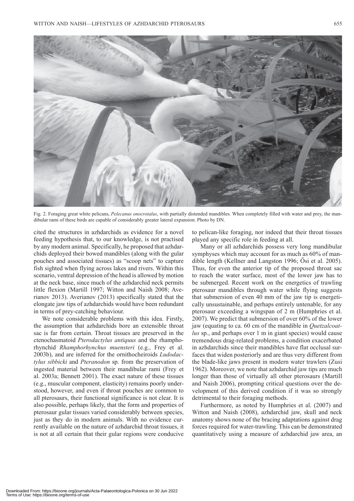

Fig. 2. Foraging great white pelicans, *Pelecanus onocrotalus*, with partially distended mandibles. When completely filled with water and prey, the mandibular rami of these birds are capable of considerably greater lateral expansion. Photo by DN.

cited the structures in azhdarchids as evidence for a novel feeding hypothesis that, to our knowledge, is not practised by any modern animal. Specifically, he proposed that azhdarchids deployed their bowed mandibles (along with the gular pouches and associated tissues) as "scoop nets" to capture fish sighted when flying across lakes and rivers. Within this scenario, ventral depression of the head is allowed by motion at the neck base, since much of the azhdarchid neck permits little flexion (Martill 1997; Witton and Naish 2008; Averianov 2013). Averianov (2013) specifically stated that the elongate jaw tips of azhdarchids would have been redundant in terms of prey-catching behaviour.

We note considerable problems with this idea. Firstly, the assumption that azhdarchids bore an extensible throat sac is far from certain. Throat tissues are preserved in the ctenochasmatoid *Pterodactylus antiquus* and the rhamphorhynchid *Rhamphorhynchus muensteri* (e.g., Frey et al. 2003b), and are inferred for the ornithocheiroids *Ludodactylus sibbicki* and *Pteranodon* sp. from the preservation of ingested material between their mandibular rami (Frey et al. 2003a; Bennett 2001). The exact nature of these tissues (e.g., muscular component, elasticity) remains poorly understood, however, and even if throat pouches are common to all pterosaurs, their functional significance is not clear. It is also possible, perhaps likely, that the form and properties of pterosaur gular tissues varied considerably between species, just as they do in modern animals. With no evidence currently available on the nature of azhdarchid throat tissues, it is not at all certain that their gular regions were conducive to pelican-like foraging, nor indeed that their throat tissues played any specific role in feeding at all.

Many or all azhdarchids possess very long mandibular symphyses which may account for as much as 60% of mandible length (Kellner and Langston 1996; Ősi et al. 2005). Thus, for even the anterior tip of the proposed throat sac to reach the water surface, most of the lower jaw has to be submerged. Recent work on the energetics of trawling pterosaur mandibles through water while flying suggests that submersion of even 40 mm of the jaw tip is energetically unsustainable, and perhaps entirely untenable, for any pterosaur exceeding a wingspan of 2 m (Humphries et al. 2007). We predict that submersion of over 60% of the lower jaw (equating to ca. 60 cm of the mandible in *Quetzalcoatlus* sp., and perhaps over 1 m in giant species) would cause tremendous drag-related problems, a condition exacerbated in azhdarchids since their mandibles have flat occlusal surfaces that widen posteriorly and are thus very different from the blade-like jaws present in modern water trawlers (Zusi 1962). Moreover, we note that azhdarchid jaw tips are much longer than those of virtually all other pterosaurs (Martill and Naish 2006), prompting critical questions over the development of this derived condition if it was so strongly detrimental to their foraging methods.

Furthermore, as noted by Humphries et al. (2007) and Witton and Naish (2008), azhdarchid jaw, skull and neck anatomy shows none of the bracing adaptations against drag forces required for water-trawling. This can be demonstrated quantitatively using a measure of azhdarchid jaw area, an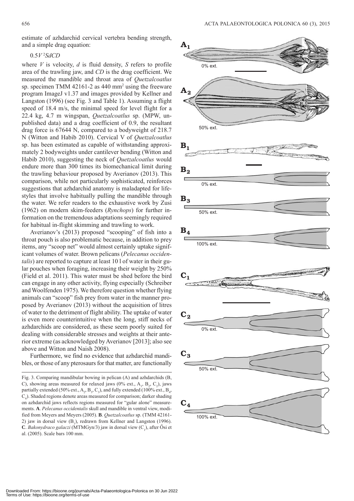estimate of azhdarchid cervical vertebra bending strength, and a simple drag equation:

#### 0.5*V* <sup>2</sup> *SdCD*

where  $V$  is velocity,  $d$  is fluid density,  $S$  refers to profile area of the trawling jaw, and *CD* is the drag coefficient. We measured the mandible and throat area of *Quetzalcoatlus* sp. specimen TMM 42161-2 as 440 mm<sup>2</sup> using the freeware program ImageJ v1.37 and images provided by Kellner and Langston (1996) (see Fig. 3 and Table 1). Assuming a flight speed of 18.4 m/s, the minimal speed for level flight for a 22.4 kg, 4.7 m wingspan, *Quetzalcoatlus* sp. (MPW, unpublished data) and a drag coefficient of 0.9, the resultant drag force is 67644 N, compared to a bodyweight of 218.7 N (Witton and Habib 2010). Cervical V of *Quetzalcoatlus*  sp. has been estimated as capable of withstanding approximately 2 bodyweights under cantilever bending (Witton and Habib 2010), suggesting the neck of *Quetzalcoatlus* would endure more than 300 times its biomechanical limit during the trawling behaviour proposed by Averianov (2013). This comparison, while not particularly sophisticated, reinforces suggestions that azhdarchid anatomy is maladapted for lifestyles that involve habitually pulling the mandible through the water. We refer readers to the exhaustive work by Zusi (1962) on modern skim-feeders (*Rynchops*) for further information on the tremendous adaptations seemingly required for habitual in-flight skimming and trawling to work.

Averianov's (2013) proposed "scooping" of fish into a throat pouch is also problematic because, in addition to prey items, any "scoop net" would almost certainly uptake significant volumes of water. Brown pelicans (*Pelecanus occidentalis*) are reported to capture at least 10 l of water in their gular pouches when foraging, increasing their weight by 250% (Field et al. 2011). This water must be shed before the bird can engage in any other activity, flying especially (Schreiber and Woolfenden 1975). We therefore question whether flying animals can "scoop" fish prey from water in the manner proposed by Averianov (2013) without the acquisition of litres of water to the detriment of flight ability. The uptake of water is even more counterintuitive when the long, stiff necks of azhdarchids are considered, as these seem poorly suited for dealing with considerable stresses and weights at their anterior extreme (as acknowledged by Averianov [2013]; also see above and Witton and Naish 2008).

Furthermore, we find no evidence that azhdarchid mandibles, or those of any pterosaurs for that matter, are functionally

Fig. 3. Comparing mandibular bowing in pelican (A) and azhdarchids (B, C), showing areas measured for relaxed jaws (0% ext.,  $A_1$ ,  $B_2$ ,  $C_2$ ), jaws partially extended (50% ext.,  $A_2$ ,  $B_3$ ,  $C_3$ ), and fully extended (100% ext.,  $B_4$ , C4 ). Shaded regions denote areas measured for comparison; darker shading on azhdarchid jaws reflects regions measured for "gular alone" measurements. **A**. *Pelecanus occidentalis* skull and mandible in ventral view, modified from Meyers and Meyers (2005). **B**. *Quetzalcoatlus* sp. (TMM 42161- 2) jaw in dorsal view  $(B_1)$ , redrawn from Kellner and Langston (1996). **C**. *Bakonydraco galaczi* (MTMGyn/3) jaw in dorsal view  $(C_1)$ , after Ösi et al. (2005). Scale bars 100 mm.

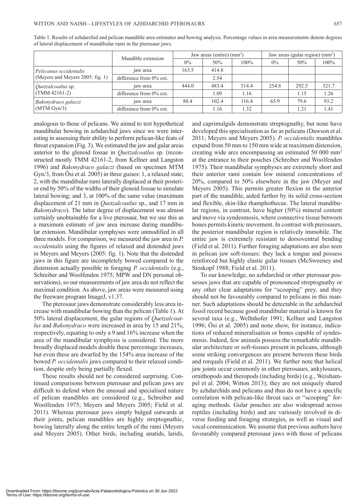|                                                               | Mandible extension         | Jaw areas (entire) $(mm2)$ |       |       | Jaw areas (gular region) $(mm^2)$ |       |       |
|---------------------------------------------------------------|----------------------------|----------------------------|-------|-------|-----------------------------------|-------|-------|
|                                                               |                            | $0\%$                      | 50%   | 100%  | $0\%$                             | 50%   | 100%  |
| Pelecanus occidentalis<br>(Meyers and Meyers $2005$ : fig. 1) | jaw area                   | 163.5                      | 414.8 |       |                                   |       |       |
|                                                               | difference from $0\%$ ext. |                            | 2.54  |       |                                   |       |       |
| <i><u>Ouetzalcoatlus</u></i> sp.<br>$(TMM 42161-2)$           | jaw area                   | 444.0                      | 483.4 | 514.4 | 254.8                             | 292.5 | 321.7 |
|                                                               | difference from $0\%$ ext. |                            | 1.09  | 1.16  |                                   | 1.15  | 1.26  |
| Bakonydraco galaczi<br>(MTM Gyn/3)                            | jaw area                   | 88.4                       | 102.4 | 116.4 | 65.9                              | 79.6  | 93.2  |
|                                                               | difference from $0\%$ ext. |                            | 1.16  | 1.32  |                                   | 1.21  | 1.41  |

Table 1. Results of azhdarchid and pelican mandible area estimates and bowing analysis. Percentage values in area measurements denote degrees of lateral displacement of mandibular rami in the pterosaur jaws.

analogous to those of pelicans. We aimed to test hypothetical mandibular bowing in azhdarchid jaws since we were interesting in assessing their ability to perform pelican-like feats of throat expansion (Fig. 3). We estimated the jaw and gular areas anterior to the glenoid fossae in *Quetzalcoatlus* sp. (reconstructed mostly TMM 42161-2, from Kellner and Langston 1996) and *Bakonydraco galaczi* (based on specimen MTM Gyn/3, from Ősi et al. 2005) in three guises: 1, a relaxed state; 2, with the mandibular rami laterally displaced at their posterior end by 50% of the widths of their glenoid fossae to simulate lateral bowing; and 3, at 100% of the same value (maximum displacement of 21 mm in *Quetzalcoatlus* sp., and 17 mm in *Bakonydraco*). The latter degree of displacement was almost certainly unobtainable for a live pterosaur, but we use this as a maximum estimate of jaw area increase during mandibular extension. Mandibular symphyses were unmodified in all three models. For comparison, we measured the jaw area in *P. occidentalis* using the figures of relaxed and distended jaws in Meyers and Meyers (2005: fig. 1). Note that the distended jaws in this figure are incompletely bowed compared to the distension actually possible in foraging *P. occidentalis* (e.g., Schreiber and Woolfenden 1975; MPW and DN personal observations), so our measurements of jaw area do not reflect the maximal condition*.* As above, jaw areas were measured using the freeware program ImageJ, v1.37.

The pterosaur jaws demonstrate considerably less area increase with mandibular bowing than the pelican (Table 1). At 50% lateral displacement, the gular regions of *Quetzalcoatlus* and *Bakonydraco* were increased in area by 15 and 21%, respectively, equating to only a 9 and 16% increase when the area of the mandibular symphysis is considered. The more broadly displaced models double these percentage increases, but even these are dwarfed by the 154% area increase of the bowed *P. occidentalis* jaws compared to their relaxed condition, despite only being partially flexed.

These results should not be considered surprising. Continued comparisons between pterosaur and pelican jaws are difficult to defend when the unusual and specialised nature of pelican mandibles are considered (e.g., Schreiber and Woolfenden 1975; Meyers and Meyers 2005; Field et al. 2011). Whereas pterosaur jaws simply bulged outwards at their joints, pelican mandibles are highly streptognathic, bowing laterally along the entire length of the rami (Meyers and Meyers 2005). Other birds, including anatids, larids,

and caprimulgids demonstrate streptognathy, but none have developed this specialisation as far as pelicans (Dawson et al. 2011; Meyers and Meyers 2005). *P. occidentalis* mandibles expand from 50 mm to 150 mm wide at maximum distension, creating wide arcs encompassing an estimated 50 000 mm2 at the entrance to their pouches (Schreiber and Woolfenden 1975). Their mandibular symphyses are extremely short and their anterior rami contain low mineral concentrations of 20%, compared to 50% elsewhere in the jaw (Meyer and Meyers 2005). This permits greater flexion in the anterior part of the mandible, aided further by its solid cross-section and flexible, skin-like rhamphothecae. The lateral mandibular regions, in contrast, have higher (50%) mineral content and move via syndesmosis, where connective tissue between bones permits kinetic movement. In contrast with pterosaurs, the posterior mandibular region is relatively immobile. The entire jaw is extremely resistant to dorsoventral bending (Field et al. 2011). Further foraging adaptations are also seen in pelican jaw soft-tissues: they lack a tongue and possess reinforced but highly elastic gular tissues (McSweeney and Stoskopf 1988; Field et al. 2011).

To our knowledge, no azhdarchid or other pterosaur possesses jaws that are capable of pronounced streptognathy or any other clear adaptations for "scooping" prey, and they should not be favourably compared to pelicans in this manner. Such adaptations should be detectable in the azhdarchid fossil record because good mandibular material is known for several taxa (e.g., Wellnhofer 1991; Kellner and Langston 1996; Ősi et al. 2005) and none show, for instance, indications of reduced mineralisation or bones capable of syndesmosis. Indeed, few animals possess the remarkable mandibular architecture or soft-tissues present in pelicans, although some striking convergences are present between these birds and rorquals (Field et al. 2011). We further note that helical jaw joints occur commonly in other pterosaurs, ankylosaurs, ornithopods and theropods (including birds) (e.g., Weishampel et al. 2004; Witton 2013); they are not uniquely shared by azhdarchids and pelicans and thus do not have a specific correlation with pelican-like throat sacs or "scooping" foraging methods. Gular pouches are also widespread across reptiles (including birds) and are variously involved in diverse feeding and foraging strategies, as well as visual and vocal communication. We assume that previous authors have favourably compared pterosaur jaws with those of pelicans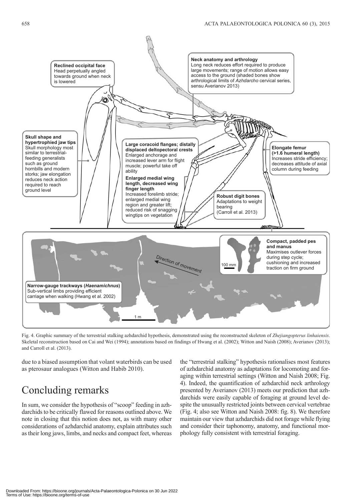

Fig. 4. Graphic summary of the terrestrial stalking azhdarchid hypothesis, demonstrated using the reconstructed skeleton of *Zhejiangopterus linhaiensis*. Skeletal reconstruction based on Cai and Wei (1994); annotations based on findings of Hwang et al. (2002); Witton and Naish (2008); Averianov (2013); and Carroll et al. (2013).

due to a biased assumption that volant waterbirds can be used as pterosaur analogues (Witton and Habib 2010).

# Concluding remarks

In sum, we consider the hypothesis of "scoop" feeding in azhdarchids to be critically flawed for reasons outlined above. We note in closing that this notion does not, as with many other considerations of azhdarchid anatomy, explain attributes such as their long jaws, limbs, and necks and compact feet, whereas the "terrestrial stalking" hypothesis rationalises most features of azhdarchid anatomy as adaptations for locomoting and foraging within terrestrial settings (Witton and Naish 2008; Fig. 4). Indeed, the quantification of azhdarchid neck arthrology presented by Averianov (2013) meets our prediction that azhdarchids were easily capable of foraging at ground level despite the unusually restricted joints between cervical vertebrae (Fig. 4; also see Witton and Naish 2008: fig. 8). We therefore maintain our view that azhdarchids did not forage while flying and consider their taphonomy, anatomy, and functional morphology fully consistent with terrestrial foraging.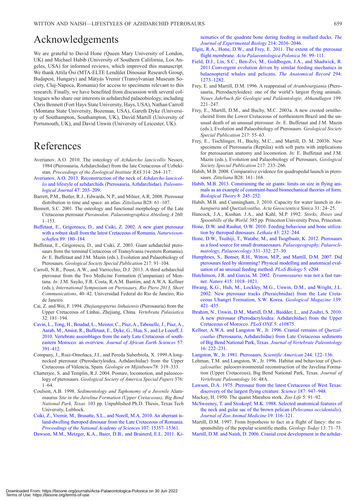## Acknowledgements

We are grateful to David Hone (Queen Mary University of London, UK) and Michael Habib (University of Southern California, Los Angeles, USA) for informed reviews, which improved this manuscript. We thank Attila Ősi (MTA-ELTE Lendület Dinosaur Research Group, Budapest, Hungary) and Mátyás Vremir (Transylvanian Museum Society, Cluj-Napoca, Romania) for access to specimens relevant to this research. Finally, we have benefited from discussion with several colleagues who share our interests in azhdarchid palaeobiology, including Chris Bennett (Fort Hays State University, Hays, USA), Nathan Carroll (Montana State University, Bozeman, USA), Gareth Dyke (University of Southampton, Southampton, UK), David Martill (University of Portsmouth, UK), and David Unwin (University of Leicester, UK).

#### References

- Averianov, A.O. 2010. The osteology of *Azhdarcho lancicollis* Nessov, 1984 (Pterosauria, Azhdarchidae) from the late Cretaceous of Uzbekistan. *Proceedings of the Zoological Institute RAS* 314: 264–317.
- Averianov, A.O. 2013. Reconstruction of the neck of *Azhdarcho lancicollis* [and lifestyle of azhdarchids \(Pterosauria, Azhdarchidae\).](http://dx.doi.org/10.1134/S0031030113020020) *Paleontological Journal* 47: 203–209.
- Barrett, P.M., Butler, R.J., Edwards, N.P., and Milner, A.R. 2008. Pterosaur distribution in time and space: an atlas. *Zitteliana* B28: 61–107.
- Bennett, S.C. 2001. The osteology and functional morphology of the Late Cretaceous pterosaur *Pteranodon*. *Palaeontographica Abteilung A* 260: 1–153.
- [Buffetaut, E., Grigorescu, D., and Csiki, Z. 2002. A new giant pterosaur](http://dx.doi.org/10.1007/s00114-002-0307-1)  with a robust skull from the latest Cretaceous of Romania. *Naturwissenschaften* 89: 180–184.
- Buffetaut, E., Grigorescu, D., and Csiki, Z. 2003. Giant azhdarchid pterosaurs from the terminal Cretaceous of Transylvania (western Romania). *In*: E. Buffetaut and J.M. Mazin (eds.), Evolution and Palaeobiology of Pterosaurs. *Geological Society Special Publication* 217: 91–104.
- Carroll, N.R., Poust, A.W., and Varricchio, D.J. 2013. A third azhdarchid pterosaur from the Two Medicine Formation (Campanian) of Montana. *In*: J.M. Sayão, F.R. Costa, R.A.M. Bantim, and A.W.A. Kellner (eds.), *International Symposium on Pterosaurs, Rio Ptero 2013, Short Communications*, 40–42. Universidad Federal do Rio de Janeiro, Rio de Janeiro.
- Cai, Z. and Wei, F. 1994. *Zhejiangopterus linhaiensis* (Pterosauria) from the Upper Cretaceous of Linhai, Zhejiang, China. *Vertebrata Palasiatica* 32: 181–194.
- [Cavin, L., Tong, H., Boudad, L., Meister, C., Piuz, A., Tabouelle, J., Piuz, A.,](http://dx.doi.org/10.1016/j.jafrearsci.2009.12.007)  Aarab, M., Amiot, R., Buffetaut, E., Dyke, G., Hua, S., and Le Loeuff, J. 2010. Vertebrate assemblages from the early Late Cretaceous of southeastern Morocco: an overview. *Journal of African Earth Sciences* 57: 391–412.
- Company, J., Ruiz-Omeñaca, J.I., and Pereda Suberbiola, X. 1999.A longnecked pterosaur (Pterodactyloidea, Azhdarchidae) from the Upper Cretaceous of Valencia, Spain. *Geologie en Mijinbouw*78: 319–333.
- Chatterjee, S. and Templin, R.J. 2004. Posture, locomotion, and paleoecology of pterosaurs. *Geological Society of America Special Papers* 376: 1–64.
- Coulson, A.B. 1998. *Sedimentology and Taphonomy of a Juvenile* Alamosaurus *Site in the Javelina Formation (Upper Cretaceous), Big Bend National Park, Texas*. 103 pp. Unpublished Ph.D. Thesis, Texas Tech University, Lubbock.
- [Csiki, Z., Vremir, M., Brusatte, S.L., and Norell, M.A. 2010. An aberrant is](http://dx.doi.org/10.1073/pnas.1006970107)land-dwelling theropod dinosaur from the Late Cretaceous of Romania. *Proceedings of the National Academy of Sciences* 107: 15357–15361.
- [Dawson, M.M., Metzger, K.A., Baier, D.B., and Brainerd, E.L. 2011](http://dx.doi.org/10.1242/jeb.047159). Ki-

[nematics of the quadrate bone during feeding in mallard ducks.](http://dx.doi.org/10.1242/jeb.047159) *The Journal of Experimental Biology* 214: 2036–2046.

- [Elgin, R.A., Hone, D.W., and Frey, E. 2011. The extent of the pterosaur](http://dx.doi.org/10.4202/app.2009.0145) flight membrane. *Acta Palaeontologica Polonica* 56: 99–111.
- [Field, D.J., Lin, S.C., Ben-Zvi, M., Goldbogen, J.A., and Shadwick, R.](http://dx.doi.org/10.1002/ar.21406) 2011.Convergent evolution driven by similar feeding mechanics in balaenopterid whales and pelicans. *The Anatomical Record* 294: 1273–1282.
- Frey, E. and Martill, D.M. 1996. A reappraisal of *Arambourgiania* (Pterosauria, Pterodactyloidea): one of the world's largest flying animals. *Neues Jahrbuch für Geologie und Paläontologie, Abhandlugen* 199: 221–247.
- Frey, E., Martill, D.M., and Buchy, M.C. 2003a. A new crested ornithocheirid from the Lower Cretaceous of northeastern Brazil and the unusual death of an unusual pterosaur. *In*: E. Buffetaut and J.M. Mazin (eds.), Evolution and Palaeobiology of Pterosaurs. *Geological Society Special Publication* 217: 55–63.
- Frey, E., Tischlinger, H., Buchy, M.C., and Martill, D. M. 2003b. New specimens of Pterosauria (Reptilia) with soft parts with implications for pterosaurian anatomy and locomotion. *In*: E. Buffetaut and J.M. Mazin (eds.), Evolution and Palaeobiology of Pterosaurs. *Geological Society Special Publication* 217: 233–266.
- Habib, M.B. 2008. Comparative evidence for quadrupedal launch in pterosaurs. *Zitteliana* B28: 161–168.
- [Habib, M.B. 2013. Constraining the air giants: limits on size in flying ani](http://dx.doi.org/10.1007/s13752-013-0118-y)mals as an example of constraint-based biomechanical theories of form. *Biological Theory* 8: 245–252.
- Habib, M.B. and Cunningham, J. 2010. Capacity for water launch in *Anhanguera* and *Quetzalcoatlus*. *Acta Geoscientica Sinica* 31: 24–25.
- Hancock, J.A., Kushan. J.A., and Kahl, M.P. 1992. *Storks, Ibises and Spoonbills of the World*. 385 pp. Princeton University Press, Princeton.
- [Hone, D.W. and Rauhut, O.W. 2010. Feeding behaviour and bone utiliza](http://dx.doi.org/10.1111/j.1502-3931.2009.00187.x)tion by theropod dinosaurs. *Lethaia* 43: 232–244.
- [Hone, D.W., Tsuihiji, T., Watabe, M., and Tsogtbaatr, K. 2012. Pterosaurs](http://dx.doi.org/10.1016/j.palaeo.2012.02.021) as a food source for small dromaeosaurs. *Palaeogeography, Palaeoclimatology, Palaeoecology* 331–332: 27–30.
- [Humphries, S., Bonser, R.H., Witton, M.P., and Martill, D.M. 2007. Did](http://dx.doi.org/10.1371/journal.pbio.0050204) pterosaurs feed by skimming? Physical modelling and anatomical evaluation of an unusual feeding method. *PLoS Biology* 5: e204.
- [Hutchinson, J.R. and Garcia, M. 2002.](http://dx.doi.org/10.1038/4151018a) *Tyrannosaurus* was not a fast runner. *Nature* 415: 1018–1021.
- [Hwang, K.G., Huh, M., Lockley, M.G., Unwin, D.M., and Wright, J.L.](http://dx.doi.org/10.1017/S0016756802006647) 2002. New pterosaur tracks (Pteraichnidae) from the Late Cretaceous Uhangri Formation, S.W. Korea. *Geological Magazine* 139: 421–435.
- [Ibrahim, N., Unwin, D.M., Martill, D.M., Baidder, L., and Zouhri, S. 2010.](http://dx.doi.org/10.1371/journal.pone.0010875) A new pterosaur (Pterodactyloidea: Azhdarchidae) from the Upper Cretaceous of Morocco. *PLoS ONE* 5: e10875.
- [Kellner, A.W.A. and Langston W., Jr. 1996. Cranial remains of](http://dx.doi.org/10.1080/02724634.1996.10011310) *Quetzalcoatlus* (Pterosauria, Azhdarchidae) from Late Cretaceous sediments of Big Bend National Park, Texas. *Journal of Vertebrate Paleontology* 16: 222–231.
- [Langston, W., Jr. 1981. Pterosaurs.](http://dx.doi.org/10.1038/scientificamerican0281-122) *Scientific American* 244: 122–136.
- Lehman, T.M. and Langston, W., Jr. 1996. Habitat and behaviour of *Quetzalcoatlus*: paleoenvironmental reconstruction of the Javelina Formation (Upper Cretaceous), Big Bend National Park, Texas. *Journal of Vertebrate Paleontology* 16: 48A.
- [Lawson, D.A. 1975. Pterosaur from the latest Cretaceous of West Texas:](http://dx.doi.org/10.1126/science.187.4180.947) discovery of the largest flying creature. *Science* 187: 947–948.
- Mackay, H. 1950. The quaint Marabou stork. *Zoo Life* 5: 91–92.
- [McSweeney, T. and Stoskopf, M.K. 1988. Selected anatomical features of](http://dx.doi.org/10.2307/20094867) the neck and gular sac of the brown pelican (*Pelecanus occidentalis*). *Journal of Zoo Animal Medicine* 19: 116–121.
- Martill, D.M. 1997. From hypothesis to fact in a flight of fancy: the responsibility of the popular scientific media. *Geology Today* 13: 71–73.
- Martill, [D.M. and Naish, D. 2006. Cranial crest development in the](http://dx.doi.org/10.1111/j.1475-4983.2006.00575.x) azhdar-